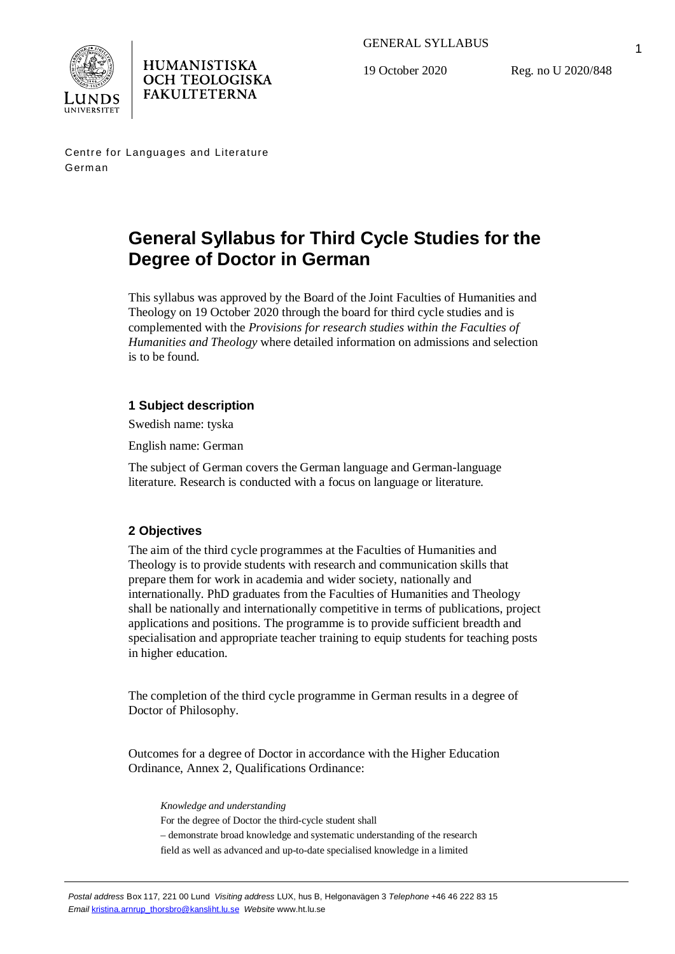



19 October 2020

Reg. no U 2020/848

1

Centre for Languages and Literature German

**HUMANISTISKA OCH TEOLOGISKA FAKULTETERNA** 

# **General Syllabus for Third Cycle Studies for the Degree of Doctor in German**

This syllabus was approved by the Board of the Joint Faculties of Humanities and Theology on 19 October 2020 through the board for third cycle studies and is complemented with the *Provisions for research studies within the Faculties of Humanities and Theology* where detailed information on admissions and selection is to be found.

# **1 Subject description**

Swedish name: tyska

English name: German

The subject of German covers the German language and German-language literature. Research is conducted with a focus on language or literature.

# **2 Objectives**

The aim of the third cycle programmes at the Faculties of Humanities and Theology is to provide students with research and communication skills that prepare them for work in academia and wider society, nationally and internationally. PhD graduates from the Faculties of Humanities and Theology shall be nationally and internationally competitive in terms of publications, project applications and positions. The programme is to provide sufficient breadth and specialisation and appropriate teacher training to equip students for teaching posts in higher education.

The completion of the third cycle programme in German results in a degree of Doctor of Philosophy.

Outcomes for a degree of Doctor in accordance with the Higher Education Ordinance, Annex 2, Qualifications Ordinance:

*Knowledge and understanding* For the degree of Doctor the third-cycle student shall – demonstrate broad knowledge and systematic understanding of the research field as well as advanced and up-to-date specialised knowledge in a limited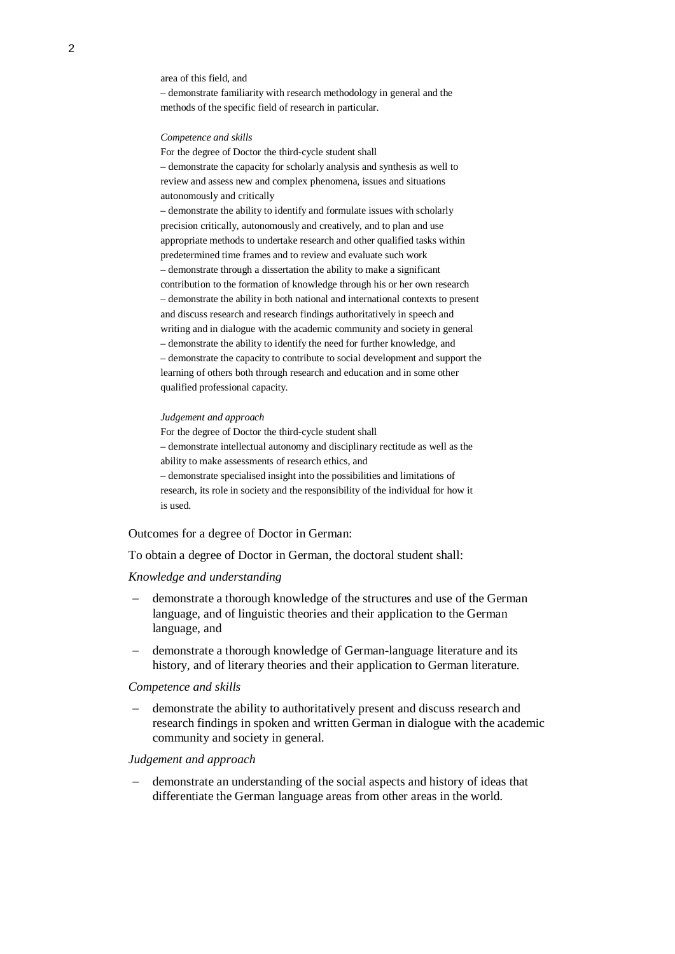area of this field, and

– demonstrate familiarity with research methodology in general and the methods of the specific field of research in particular.

#### *Competence and skills*

For the degree of Doctor the third-cycle student shall – demonstrate the capacity for scholarly analysis and synthesis as well to review and assess new and complex phenomena, issues and situations autonomously and critically

– demonstrate the ability to identify and formulate issues with scholarly precision critically, autonomously and creatively, and to plan and use appropriate methods to undertake research and other qualified tasks within predetermined time frames and to review and evaluate such work – demonstrate through a dissertation the ability to make a significant contribution to the formation of knowledge through his or her own research – demonstrate the ability in both national and international contexts to present and discuss research and research findings authoritatively in speech and writing and in dialogue with the academic community and society in general – demonstrate the ability to identify the need for further knowledge, and – demonstrate the capacity to contribute to social development and support the learning of others both through research and education and in some other qualified professional capacity.

#### *Judgement and approach*

For the degree of Doctor the third-cycle student shall – demonstrate intellectual autonomy and disciplinary rectitude as well as the ability to make assessments of research ethics, and – demonstrate specialised insight into the possibilities and limitations of research, its role in society and the responsibility of the individual for how it is used.

#### Outcomes for a degree of Doctor in German:

To obtain a degree of Doctor in German, the doctoral student shall:

#### *Knowledge and understanding*

- demonstrate a thorough knowledge of the structures and use of the German language, and of linguistic theories and their application to the German language, and
- demonstrate a thorough knowledge of German-language literature and its history, and of literary theories and their application to German literature.

#### *Competence and skills*

- demonstrate the ability to authoritatively present and discuss research and research findings in spoken and written German in dialogue with the academic community and society in general.

#### *Judgement and approach*

- demonstrate an understanding of the social aspects and history of ideas that differentiate the German language areas from other areas in the world.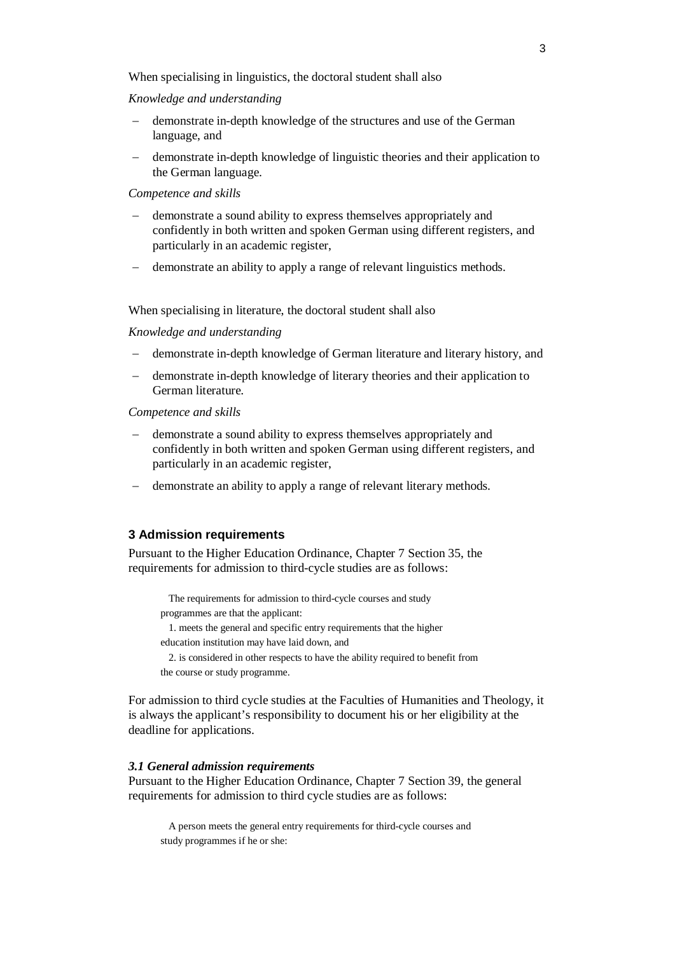When specialising in linguistics, the doctoral student shall also

## *Knowledge and understanding*

- demonstrate in-depth knowledge of the structures and use of the German language, and
- demonstrate in-depth knowledge of linguistic theories and their application to the German language.

## *Competence and skills*

- demonstrate a sound ability to express themselves appropriately and confidently in both written and spoken German using different registers, and particularly in an academic register,
- demonstrate an ability to apply a range of relevant linguistics methods.

## When specialising in literature, the doctoral student shall also

## *Knowledge and understanding*

- demonstrate in-depth knowledge of German literature and literary history, and
- demonstrate in-depth knowledge of literary theories and their application to German literature.

#### *Competence and skills*

- demonstrate a sound ability to express themselves appropriately and confidently in both written and spoken German using different registers, and particularly in an academic register,
- demonstrate an ability to apply a range of relevant literary methods.

## **3 Admission requirements**

Pursuant to the Higher Education Ordinance, Chapter 7 Section 35, the requirements for admission to third-cycle studies are as follows:

The requirements for admission to third-cycle courses and study programmes are that the applicant:

1. meets the general and specific entry requirements that the higher education institution may have laid down, and

2. is considered in other respects to have the ability required to benefit from

the course or study programme.

For admission to third cycle studies at the Faculties of Humanities and Theology, it is always the applicant's responsibility to document his or her eligibility at the deadline for applications.

## *3.1 General admission requirements*

Pursuant to the Higher Education Ordinance, Chapter 7 Section 39, the general requirements for admission to third cycle studies are as follows:

A person meets the general entry requirements for third-cycle courses and study programmes if he or she: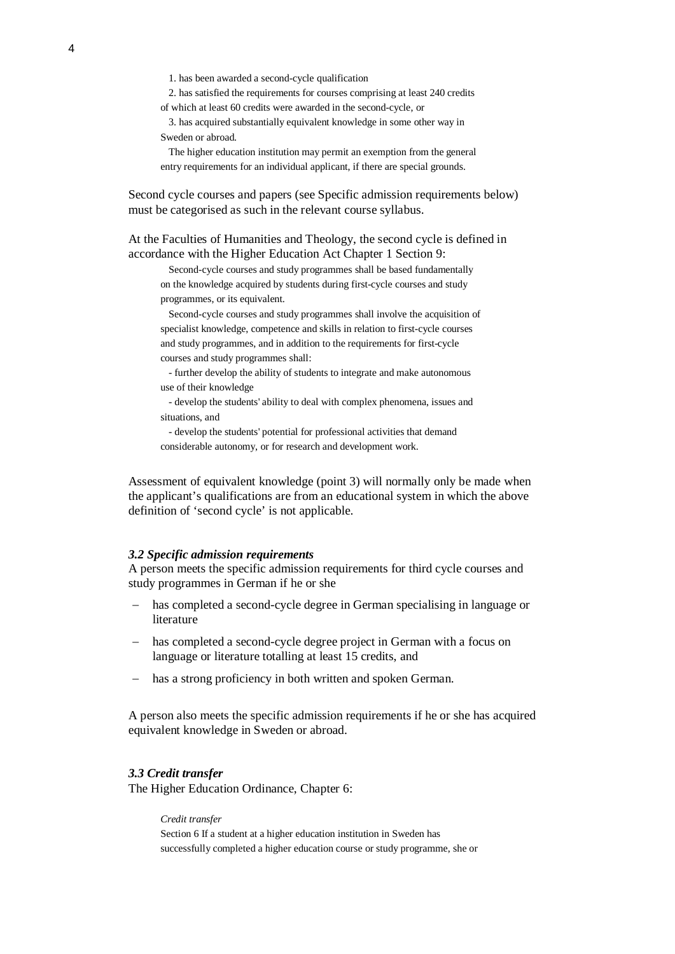1. has been awarded a second-cycle qualification

2. has satisfied the requirements for courses comprising at least 240 credits of which at least 60 credits were awarded in the second-cycle, or

3. has acquired substantially equivalent knowledge in some other way in Sweden or abroad.

The higher education institution may permit an exemption from the general entry requirements for an individual applicant, if there are special grounds.

Second cycle courses and papers (see Specific admission requirements below) must be categorised as such in the relevant course syllabus.

At the Faculties of Humanities and Theology, the second cycle is defined in accordance with the Higher Education Act Chapter 1 Section 9:

Second-cycle courses and study programmes shall be based fundamentally on the knowledge acquired by students during first-cycle courses and study programmes, or its equivalent.

Second-cycle courses and study programmes shall involve the acquisition of specialist knowledge, competence and skills in relation to first-cycle courses and study programmes, and in addition to the requirements for first-cycle courses and study programmes shall:

- further develop the ability of students to integrate and make autonomous use of their knowledge

- develop the students' ability to deal with complex phenomena, issues and situations, and

- develop the students' potential for professional activities that demand considerable autonomy, or for research and development work.

Assessment of equivalent knowledge (point 3) will normally only be made when the applicant's qualifications are from an educational system in which the above definition of 'second cycle' is not applicable.

#### *3.2 Specific admission requirements*

A person meets the specific admission requirements for third cycle courses and study programmes in German if he or she

- has completed a second-cycle degree in German specialising in language or literature
- has completed a second-cycle degree project in German with a focus on language or literature totalling at least 15 credits, and
- has a strong proficiency in both written and spoken German.

A person also meets the specific admission requirements if he or she has acquired equivalent knowledge in Sweden or abroad.

## *3.3 Credit transfer*

The Higher Education Ordinance, Chapter 6:

*Credit transfer*

Section 6 If a student at a higher education institution in Sweden has successfully completed a higher education course or study programme, she or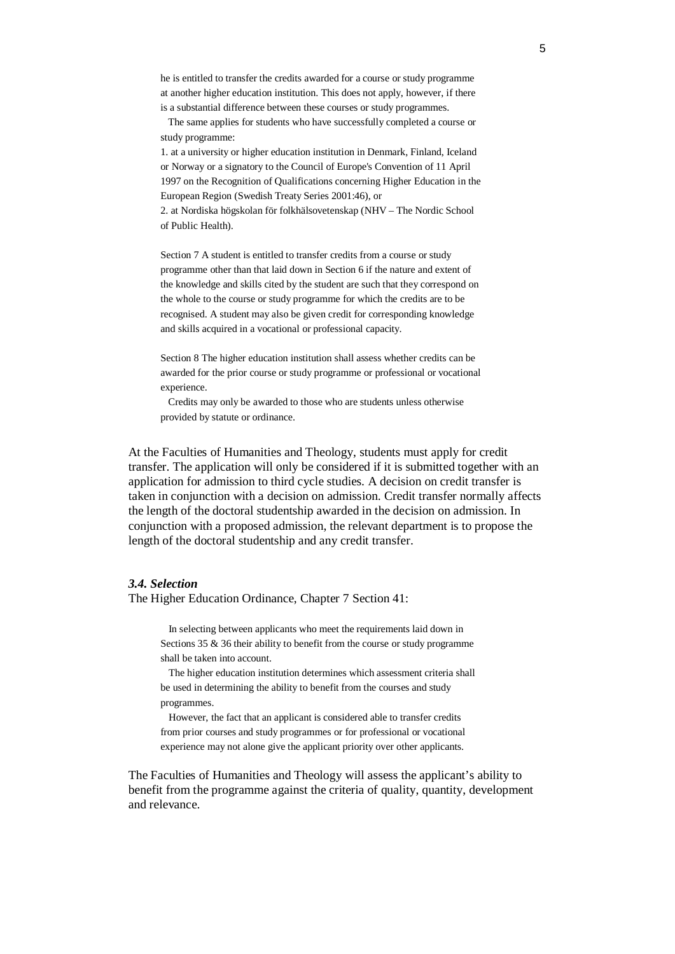he is entitled to transfer the credits awarded for a course or study programme at another higher education institution. This does not apply, however, if there is a substantial difference between these courses or study programmes.

 The same applies for students who have successfully completed a course or study programme:

1. at a university or higher education institution in Denmark, Finland, Iceland or Norway or a signatory to the Council of Europe's Convention of 11 April 1997 on the Recognition of Qualifications concerning Higher Education in the European Region (Swedish Treaty Series 2001:46), or

2. at Nordiska högskolan för folkhälsovetenskap (NHV – The Nordic School of Public Health).

Section 7 A student is entitled to transfer credits from a course or study programme other than that laid down in Section 6 if the nature and extent of the knowledge and skills cited by the student are such that they correspond on the whole to the course or study programme for which the credits are to be recognised. A student may also be given credit for corresponding knowledge and skills acquired in a vocational or professional capacity.

Section 8 The higher education institution shall assess whether credits can be awarded for the prior course or study programme or professional or vocational experience.

 Credits may only be awarded to those who are students unless otherwise provided by statute or ordinance.

At the Faculties of Humanities and Theology, students must apply for credit transfer. The application will only be considered if it is submitted together with an application for admission to third cycle studies. A decision on credit transfer is taken in conjunction with a decision on admission. Credit transfer normally affects the length of the doctoral studentship awarded in the decision on admission. In conjunction with a proposed admission, the relevant department is to propose the length of the doctoral studentship and any credit transfer.

#### *3.4. Selection*

The Higher Education Ordinance, Chapter 7 Section 41:

In selecting between applicants who meet the requirements laid down in Sections 35 & 36 their ability to benefit from the course or study programme shall be taken into account.

The higher education institution determines which assessment criteria shall be used in determining the ability to benefit from the courses and study programmes.

However, the fact that an applicant is considered able to transfer credits from prior courses and study programmes or for professional or vocational experience may not alone give the applicant priority over other applicants.

The Faculties of Humanities and Theology will assess the applicant's ability to benefit from the programme against the criteria of quality, quantity, development and relevance.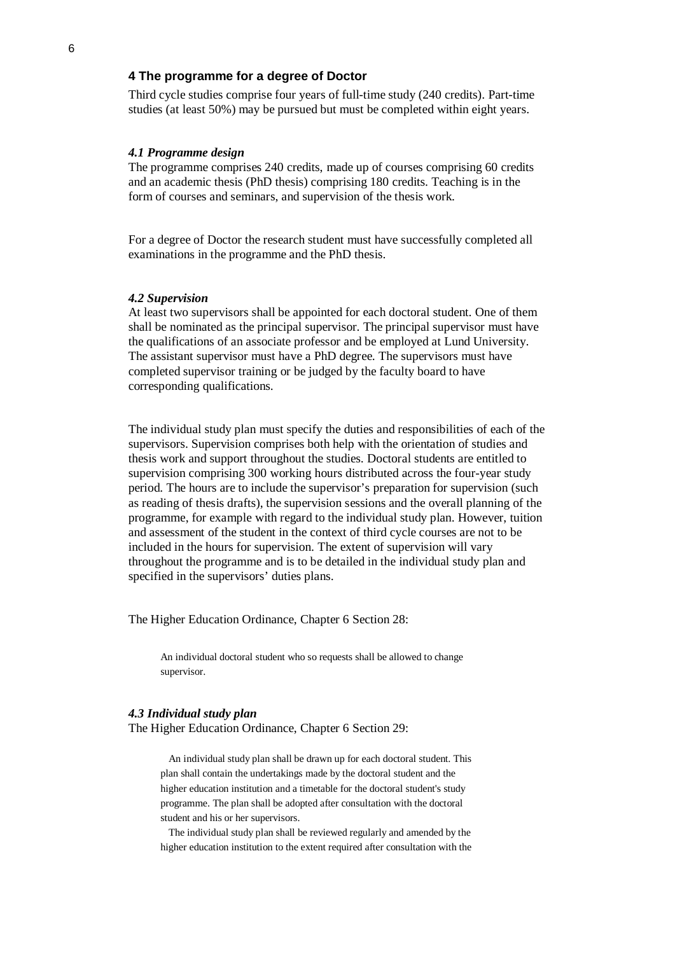## **4 The programme for a degree of Doctor**

Third cycle studies comprise four years of full-time study (240 credits). Part-time studies (at least 50%) may be pursued but must be completed within eight years.

## *4.1 Programme design*

The programme comprises 240 credits, made up of courses comprising 60 credits and an academic thesis (PhD thesis) comprising 180 credits. Teaching is in the form of courses and seminars, and supervision of the thesis work.

For a degree of Doctor the research student must have successfully completed all examinations in the programme and the PhD thesis.

#### *4.2 Supervision*

At least two supervisors shall be appointed for each doctoral student. One of them shall be nominated as the principal supervisor. The principal supervisor must have the qualifications of an associate professor and be employed at Lund University. The assistant supervisor must have a PhD degree. The supervisors must have completed supervisor training or be judged by the faculty board to have corresponding qualifications.

The individual study plan must specify the duties and responsibilities of each of the supervisors. Supervision comprises both help with the orientation of studies and thesis work and support throughout the studies. Doctoral students are entitled to supervision comprising 300 working hours distributed across the four-year study period. The hours are to include the supervisor's preparation for supervision (such as reading of thesis drafts), the supervision sessions and the overall planning of the programme, for example with regard to the individual study plan. However, tuition and assessment of the student in the context of third cycle courses are not to be included in the hours for supervision. The extent of supervision will vary throughout the programme and is to be detailed in the individual study plan and specified in the supervisors' duties plans.

The Higher Education Ordinance, Chapter 6 Section 28:

An individual doctoral student who so requests shall be allowed to change supervisor.

## *4.3 Individual study plan*

The Higher Education Ordinance, Chapter 6 Section 29:

An individual study plan shall be drawn up for each doctoral student. This plan shall contain the undertakings made by the doctoral student and the higher education institution and a timetable for the doctoral student's study programme. The plan shall be adopted after consultation with the doctoral student and his or her supervisors.

The individual study plan shall be reviewed regularly and amended by the higher education institution to the extent required after consultation with the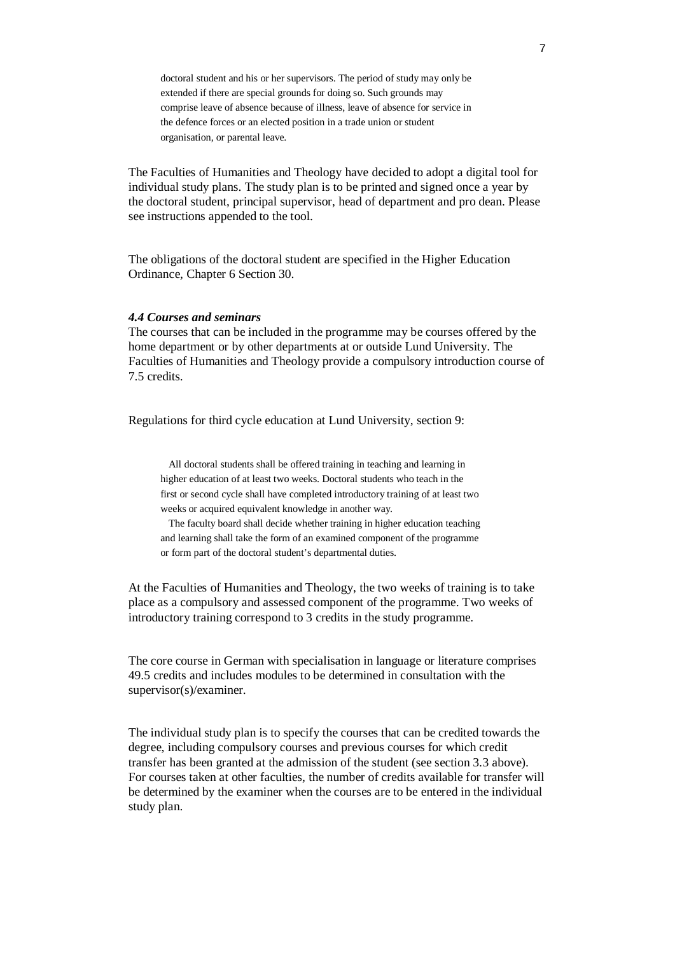doctoral student and his or her supervisors. The period of study may only be extended if there are special grounds for doing so. Such grounds may comprise leave of absence because of illness, leave of absence for service in the defence forces or an elected position in a trade union or student organisation, or parental leave.

The Faculties of Humanities and Theology have decided to adopt a digital tool for individual study plans. The study plan is to be printed and signed once a year by the doctoral student, principal supervisor, head of department and pro dean. Please see instructions appended to the tool.

The obligations of the doctoral student are specified in the Higher Education Ordinance, Chapter 6 Section 30.

## *4.4 Courses and seminars*

The courses that can be included in the programme may be courses offered by the home department or by other departments at or outside Lund University. The Faculties of Humanities and Theology provide a compulsory introduction course of 7.5 credits.

Regulations for third cycle education at Lund University, section 9:

All doctoral students shall be offered training in teaching and learning in higher education of at least two weeks. Doctoral students who teach in the first or second cycle shall have completed introductory training of at least two weeks or acquired equivalent knowledge in another way.

The faculty board shall decide whether training in higher education teaching and learning shall take the form of an examined component of the programme or form part of the doctoral student's departmental duties.

At the Faculties of Humanities and Theology, the two weeks of training is to take place as a compulsory and assessed component of the programme. Two weeks of introductory training correspond to 3 credits in the study programme.

The core course in German with specialisation in language or literature comprises 49.5 credits and includes modules to be determined in consultation with the supervisor(s)/examiner.

The individual study plan is to specify the courses that can be credited towards the degree, including compulsory courses and previous courses for which credit transfer has been granted at the admission of the student (see section 3.3 above). For courses taken at other faculties, the number of credits available for transfer will be determined by the examiner when the courses are to be entered in the individual study plan.